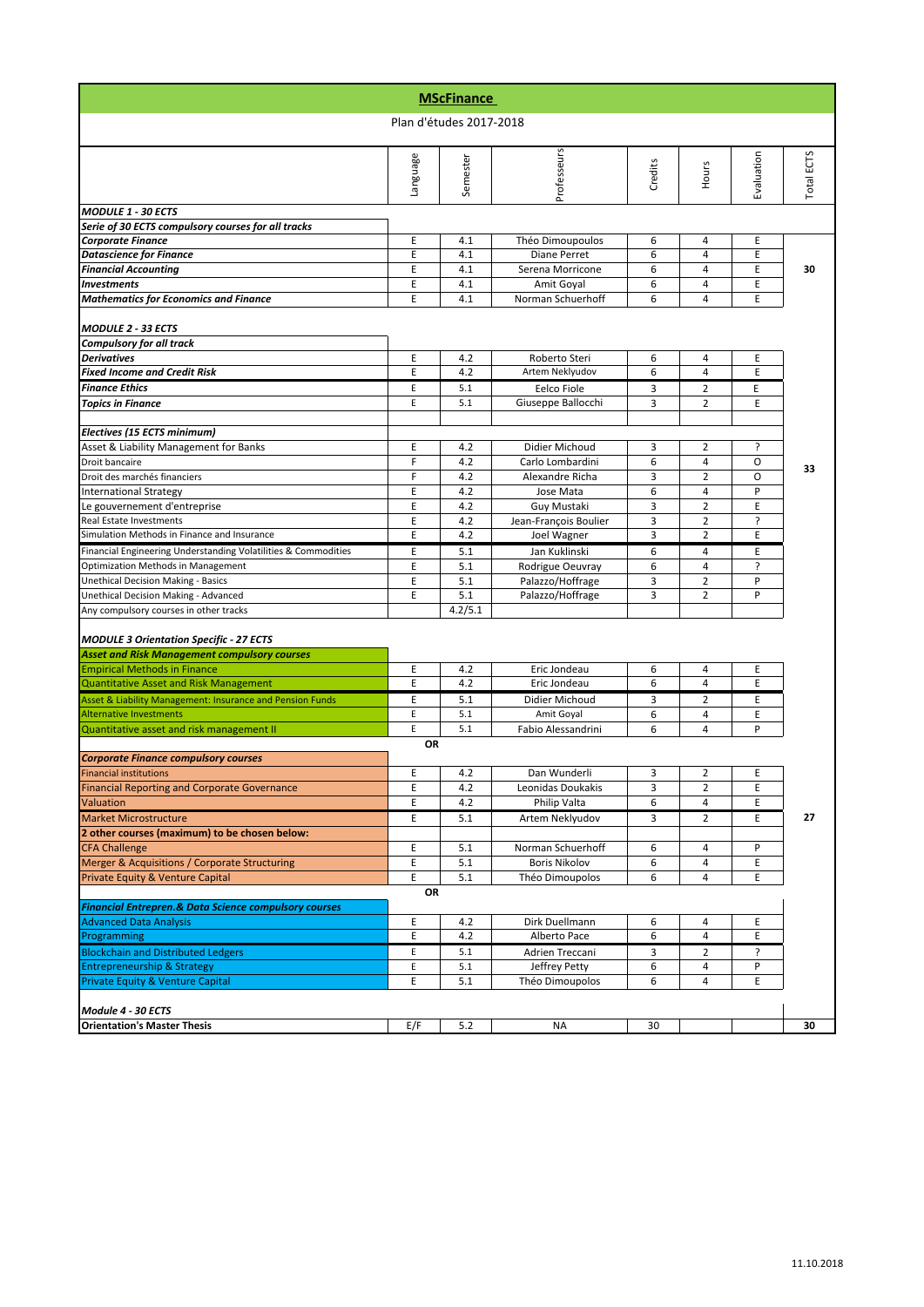|                                                                                                   |          | <b>MScFinance</b>       |                       |         |                |            |            |
|---------------------------------------------------------------------------------------------------|----------|-------------------------|-----------------------|---------|----------------|------------|------------|
|                                                                                                   |          | Plan d'études 2017-2018 |                       |         |                |            |            |
|                                                                                                   | Language | Semester                | Professeurs           | Credits | Hours          | Evaluation | Total ECTS |
| <b>MODULE 1 - 30 ECTS</b>                                                                         |          |                         |                       |         |                |            |            |
| Serie of 30 ECTS compulsory courses for all tracks                                                |          |                         |                       |         |                |            |            |
| <b>Corporate Finance</b>                                                                          | E        | 4.1                     | Théo Dimoupoulos      | 6       | 4              | Ε          |            |
| <b>Datascience for Finance</b>                                                                    | E        | 4.1                     | Diane Perret          | 6       | 4              | E          |            |
| <b>Financial Accounting</b>                                                                       | E        | 4.1                     | Serena Morricone      | 6       | 4              | E          | 30         |
| <b>Investments</b>                                                                                | E        | 4.1                     | Amit Goyal            | 6       | $\overline{4}$ | E          |            |
| <b>Mathematics for Economics and Finance</b>                                                      | E        | 4.1                     | Norman Schuerhoff     | 6       | 4              | E          |            |
| <b>MODULE 2 - 33 ECTS</b>                                                                         |          |                         |                       |         |                |            |            |
| <b>Compulsory for all track</b>                                                                   |          |                         |                       |         |                |            |            |
| <b>Derivatives</b>                                                                                | Ε        | 4.2                     | Roberto Steri         | 6       | 4              | E          |            |
| <b>Fixed Income and Credit Risk</b>                                                               | E        | 4.2                     | Artem Neklyudov       | 6       | 4              | E          |            |
| <b>Finance Ethics</b>                                                                             | E        | 5.1                     | Eelco Fiole           | 3       | 2              | Е          |            |
| <b>Topics in Finance</b>                                                                          | E        | 5.1                     | Giuseppe Ballocchi    | 3       | $\overline{2}$ | E          |            |
| Electives (15 ECTS minimum)                                                                       |          |                         |                       |         |                |            |            |
| Asset & Liability Management for Banks                                                            | E        | 4.2                     | Didier Michoud        | 3       | $\overline{2}$ | ç.         |            |
| Droit bancaire                                                                                    | F        | 4.2                     | Carlo Lombardini      | 6       | 4              | O          |            |
| Droit des marchés financiers                                                                      | F        | 4.2                     | Alexandre Richa       | 3       | $\overline{2}$ | O          | 33         |
| <b>International Strategy</b>                                                                     | E        | 4.2                     | Jose Mata             | 6       | 4              | P          |            |
| Le gouvernement d'entreprise                                                                      | E        | 4.2                     | Guy Mustaki           | 3       | $\overline{2}$ | E          |            |
| Real Estate Investments                                                                           | E        | 4.2                     | Jean-François Boulier | 3       | $\overline{2}$ | ċ.         |            |
| Simulation Methods in Finance and Insurance                                                       | E        | 4.2                     | Joel Wagner           | 3       | 2              | E          |            |
| Financial Engineering Understanding Volatilities & Commodities                                    | E        | 5.1                     | Jan Kuklinski         | 6       | 4              | E          |            |
| Optimization Methods in Management                                                                | E        | 5.1                     | Rodrigue Oeuvray      | 6       | 4              | ė.         |            |
| <b>Unethical Decision Making - Basics</b>                                                         | E        | 5.1                     | Palazzo/Hoffrage      | 3       | $\overline{2}$ | P          |            |
| Unethical Decision Making - Advanced                                                              | E        | 5.1                     | Palazzo/Hoffrage      | 3       | $\overline{2}$ | P          |            |
| Any compulsory courses in other tracks                                                            |          | 4.2/5.1                 |                       |         |                |            |            |
| <b>MODULE 3 Orientation Specific - 27 ECTS</b>                                                    |          |                         |                       |         |                |            |            |
| <b>Asset and Risk Management compulsory courses</b>                                               |          |                         |                       |         |                |            |            |
| <b>Empirical Methods in Finance</b>                                                               | E        | 4.2                     | Eric Jondeau          | 6       | 4              | Ε          |            |
| Quantitative Asset and Risk Management                                                            | E        | 4.2                     | Eric Jondeau          | 6       | 4              | E          |            |
| Asset & Liability Management: Insurance and Pension Funds                                         | E        | 5.1                     | Didier Michoud        | 3       | $\overline{2}$ | E          |            |
| <b>Alternative Investments</b>                                                                    | E        | 5.1                     | Amit Goyal            | 6       | 4              | E          |            |
| Quantitative asset and risk management II                                                         | E        | 5.1                     | Fabio Alessandrini    | 6       | 4              | P          |            |
|                                                                                                   | OR       |                         |                       |         |                |            |            |
| <b>Corporate Finance compulsory courses</b><br><b>Financial institutions</b>                      | E        | 4.2                     | Dan Wunderli          | 3       | 2              | E          |            |
| <b>Financial Reporting and Corporate Governance</b>                                               | E        | 4.2                     | Leonidas Doukakis     | 3       | $\overline{2}$ | E          |            |
| <b>Valuation</b>                                                                                  | E        | 4.2                     | Philip Valta          | 6       | 4              | E          |            |
| <b>Market Microstructure</b>                                                                      | E        | 5.1                     | Artem Neklyudov       | 3       | $\overline{2}$ | E          | 27         |
| 2 other courses (maximum) to be chosen below:                                                     |          |                         |                       |         |                |            |            |
| <b>CFA Challenge</b>                                                                              | E        | 5.1                     | Norman Schuerhoff     | 6       | 4              | P          |            |
| Merger & Acquisitions / Corporate Structuring                                                     | E        | 5.1                     | <b>Boris Nikolov</b>  | 6       | 4              | E          |            |
| Private Equity & Venture Capital                                                                  | E        | 5.1                     | Théo Dimoupolos       | 6       | 4              | E          |            |
|                                                                                                   | OR       |                         |                       |         |                |            |            |
| <b>Financial Entrepren.&amp; Data Science compulsory courses</b><br><b>Advanced Data Analysis</b> |          |                         | Dirk Duellmann        |         | 4              | Ε          |            |
| Programming                                                                                       | Е<br>E   | 4.2<br>4.2              | Alberto Pace          | 6<br>6  | 4              | E          |            |
| <b>Blockchain and Distributed Ledgers</b>                                                         | E        | 5.1                     | Adrien Treccani       | 3       | 2              | ?          |            |
| <b>Entrepreneurship &amp; Strategy</b>                                                            | E        | 5.1                     | Jeffrey Petty         | 6       | 4              | P          |            |
| <b>Private Equity &amp; Venture Capital</b>                                                       | E        | 5.1                     | Théo Dimoupolos       | 6       | 4              | E          |            |
|                                                                                                   |          |                         |                       |         |                |            |            |
| Module 4 - 30 ECTS                                                                                |          |                         |                       |         |                |            |            |
| <b>Orientation's Master Thesis</b>                                                                | E/F      | 5.2                     | <b>NA</b>             | 30      |                |            | 30         |